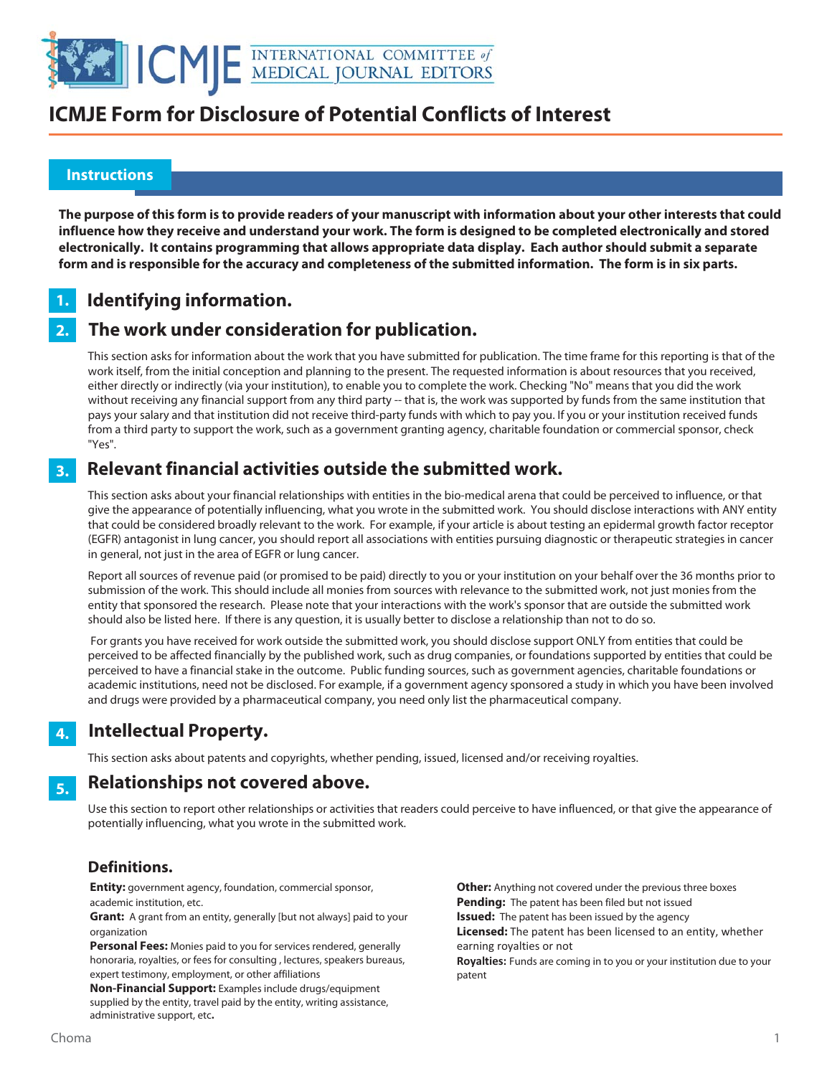

### **Instructions**

 

> **The purpose of this form is to provide readers of your manuscript with information about your other interests that could influence how they receive and understand your work. The form is designed to be completed electronically and stored electronically. It contains programming that allows appropriate data display. Each author should submit a separate form and is responsible for the accuracy and completeness of the submitted information. The form is in six parts.**

### **Identifying information. 1.**

### **The work under consideration for publication. 2.**

This section asks for information about the work that you have submitted for publication. The time frame for this reporting is that of the work itself, from the initial conception and planning to the present. The requested information is about resources that you received, either directly or indirectly (via your institution), to enable you to complete the work. Checking "No" means that you did the work without receiving any financial support from any third party -- that is, the work was supported by funds from the same institution that pays your salary and that institution did not receive third-party funds with which to pay you. If you or your institution received funds from a third party to support the work, such as a government granting agency, charitable foundation or commercial sponsor, check "Yes".

#### **Relevant financial activities outside the submitted work. 3.**

This section asks about your financial relationships with entities in the bio-medical arena that could be perceived to influence, or that give the appearance of potentially influencing, what you wrote in the submitted work. You should disclose interactions with ANY entity that could be considered broadly relevant to the work. For example, if your article is about testing an epidermal growth factor receptor (EGFR) antagonist in lung cancer, you should report all associations with entities pursuing diagnostic or therapeutic strategies in cancer in general, not just in the area of EGFR or lung cancer.

Report all sources of revenue paid (or promised to be paid) directly to you or your institution on your behalf over the 36 months prior to submission of the work. This should include all monies from sources with relevance to the submitted work, not just monies from the entity that sponsored the research. Please note that your interactions with the work's sponsor that are outside the submitted work should also be listed here. If there is any question, it is usually better to disclose a relationship than not to do so.

 For grants you have received for work outside the submitted work, you should disclose support ONLY from entities that could be perceived to be affected financially by the published work, such as drug companies, or foundations supported by entities that could be perceived to have a financial stake in the outcome. Public funding sources, such as government agencies, charitable foundations or academic institutions, need not be disclosed. For example, if a government agency sponsored a study in which you have been involved and drugs were provided by a pharmaceutical company, you need only list the pharmaceutical company.

### **Intellectual Property. 4.**

This section asks about patents and copyrights, whether pending, issued, licensed and/or receiving royalties.

#### **Relationships not covered above. 5.**

Use this section to report other relationships or activities that readers could perceive to have influenced, or that give the appearance of potentially influencing, what you wrote in the submitted work.

### **Definitions.**

**Entity:** government agency, foundation, commercial sponsor, academic institution, etc.

**Grant:** A grant from an entity, generally [but not always] paid to your organization

**Personal Fees:** Monies paid to you for services rendered, generally honoraria, royalties, or fees for consulting , lectures, speakers bureaus, expert testimony, employment, or other affiliations

**Non-Financial Support:** Examples include drugs/equipment supplied by the entity, travel paid by the entity, writing assistance, administrative support, etc**.**

**Other:** Anything not covered under the previous three boxes **Pending:** The patent has been filed but not issued **Issued:** The patent has been issued by the agency **Licensed:** The patent has been licensed to an entity, whether earning royalties or not

**Royalties:** Funds are coming in to you or your institution due to your patent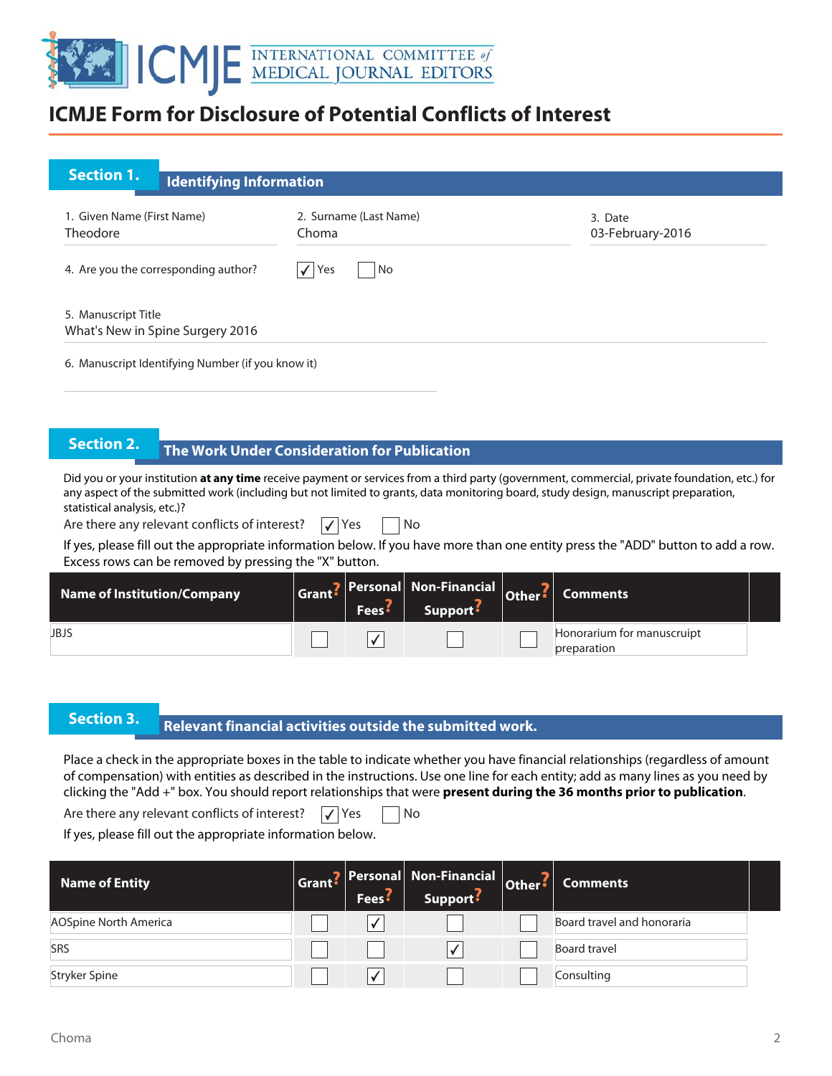

| <b>Section 1.</b><br><b>Identifying Information</b>     |                                 |                             |
|---------------------------------------------------------|---------------------------------|-----------------------------|
| 1. Given Name (First Name)<br>Theodore                  | 2. Surname (Last Name)<br>Choma | 3. Date<br>03-February-2016 |
| 4. Are you the corresponding author?                    | $\sqrt{Y}$<br>l No              |                             |
| 5. Manuscript Title<br>What's New in Spine Surgery 2016 |                                 |                             |
| 6. Manuscript Identifying Number (if you know it)       |                                 |                             |

## **The Work Under Consideration for Publication**

Did you or your institution **at any time** receive payment or services from a third party (government, commercial, private foundation, etc.) for any aspect of the submitted work (including but not limited to grants, data monitoring board, study design, manuscript preparation, statistical analysis, etc.)?

| Are there any relevant conflicts of interest? |  |  | $\sqrt{\gamma}$ | No |
|-----------------------------------------------|--|--|-----------------|----|
|                                               |  |  |                 |    |

| If yes, please fill out the appropriate information below. If you have more than one entity press the "ADD" button to add a row. |
|----------------------------------------------------------------------------------------------------------------------------------|
| Excess rows can be removed by pressing the "X" button.                                                                           |

| <b>Name of Institution/Company</b> | Fees <sup>:</sup> | Grant? Personal Non-Financial Other?<br>Support <sup>5</sup> | <b>Comments</b>                           |  |
|------------------------------------|-------------------|--------------------------------------------------------------|-------------------------------------------|--|
| JBJS                               |                   |                                                              | Honorarium for manuscruipt<br>preparation |  |

## **Relevant financial activities outside the submitted work. Section 3. Relevant financial activities** outside the submitted work.

Place a check in the appropriate boxes in the table to indicate whether you have financial relationships (regardless of amount of compensation) with entities as described in the instructions. Use one line for each entity; add as many lines as you need by clicking the "Add +" box. You should report relationships that were **present during the 36 months prior to publication**.

Are there any relevant conflicts of interest?  $\sqrt{\sqrt{S}}$  Yes  $\Box$  No

If yes, please fill out the appropriate information below.

| <b>Name of Entity</b>        | Fees <sup>:</sup> | Grant? Personal Non-Financial<br>Support <sup>2</sup> | $ _{\mathsf{Other}}? $ | <b>Comments</b>            |  |
|------------------------------|-------------------|-------------------------------------------------------|------------------------|----------------------------|--|
| <b>AOSpine North America</b> |                   |                                                       |                        | Board travel and honoraria |  |
| SRS                          |                   |                                                       |                        | <b>Board travel</b>        |  |
| Stryker Spine                |                   |                                                       |                        | Consulting                 |  |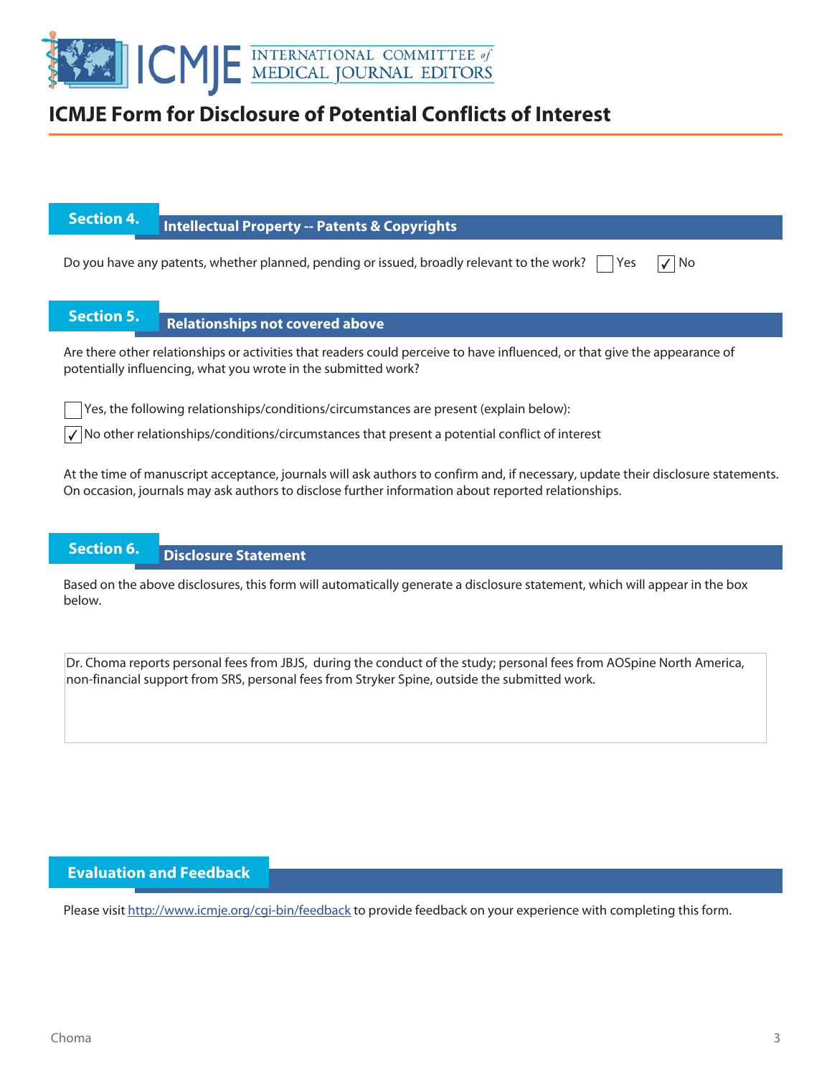

# **Intellectual Property -- Patents & Copyrights**

Do you have any patents, whether planned, pending or issued, broadly relevant to the work?  $\Box$  Yes  $\Box$  No

## **Section 5. Relationships not covered above**

Are there other relationships or activities that readers could perceive to have influenced, or that give the appearance of potentially influencing, what you wrote in the submitted work?

Yes, the following relationships/conditions/circumstances are present (explain below):

 $\sqrt{\ }$  No other relationships/conditions/circumstances that present a potential conflict of interest

At the time of manuscript acceptance, journals will ask authors to confirm and, if necessary, update their disclosure statements. On occasion, journals may ask authors to disclose further information about reported relationships.

### **Section 6. Disclosure Statement**

Based on the above disclosures, this form will automatically generate a disclosure statement, which will appear in the box below.

Dr. Choma reports personal fees from JBJS, during the conduct of the study; personal fees from AOSpine North America, non-financial support from SRS, personal fees from Stryker Spine, outside the submitted work.

### **Evaluation and Feedback**

Please visit http://www.icmje.org/cgi-bin/feedback to provide feedback on your experience with completing this form.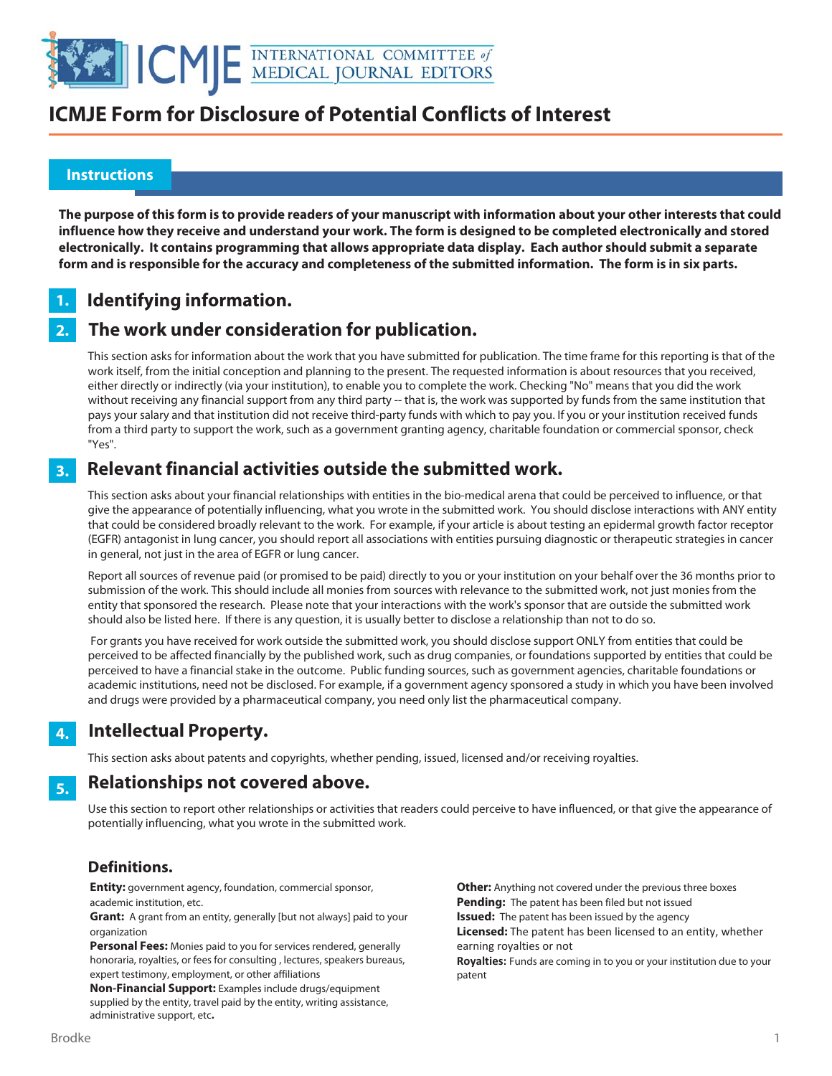

### **Instructions**

 

> **The purpose of this form is to provide readers of your manuscript with information about your other interests that could influence how they receive and understand your work. The form is designed to be completed electronically and stored electronically. It contains programming that allows appropriate data display. Each author should submit a separate form and is responsible for the accuracy and completeness of the submitted information. The form is in six parts.**

### **Identifying information. 1.**

### **The work under consideration for publication. 2.**

This section asks for information about the work that you have submitted for publication. The time frame for this reporting is that of the work itself, from the initial conception and planning to the present. The requested information is about resources that you received, either directly or indirectly (via your institution), to enable you to complete the work. Checking "No" means that you did the work without receiving any financial support from any third party -- that is, the work was supported by funds from the same institution that pays your salary and that institution did not receive third-party funds with which to pay you. If you or your institution received funds from a third party to support the work, such as a government granting agency, charitable foundation or commercial sponsor, check "Yes".

#### **Relevant financial activities outside the submitted work. 3.**

This section asks about your financial relationships with entities in the bio-medical arena that could be perceived to influence, or that give the appearance of potentially influencing, what you wrote in the submitted work. You should disclose interactions with ANY entity that could be considered broadly relevant to the work. For example, if your article is about testing an epidermal growth factor receptor (EGFR) antagonist in lung cancer, you should report all associations with entities pursuing diagnostic or therapeutic strategies in cancer in general, not just in the area of EGFR or lung cancer.

Report all sources of revenue paid (or promised to be paid) directly to you or your institution on your behalf over the 36 months prior to submission of the work. This should include all monies from sources with relevance to the submitted work, not just monies from the entity that sponsored the research. Please note that your interactions with the work's sponsor that are outside the submitted work should also be listed here. If there is any question, it is usually better to disclose a relationship than not to do so.

 For grants you have received for work outside the submitted work, you should disclose support ONLY from entities that could be perceived to be affected financially by the published work, such as drug companies, or foundations supported by entities that could be perceived to have a financial stake in the outcome. Public funding sources, such as government agencies, charitable foundations or academic institutions, need not be disclosed. For example, if a government agency sponsored a study in which you have been involved and drugs were provided by a pharmaceutical company, you need only list the pharmaceutical company.

### **Intellectual Property. 4.**

This section asks about patents and copyrights, whether pending, issued, licensed and/or receiving royalties.

#### **Relationships not covered above. 5.**

Use this section to report other relationships or activities that readers could perceive to have influenced, or that give the appearance of potentially influencing, what you wrote in the submitted work.

### **Definitions.**

**Entity:** government agency, foundation, commercial sponsor, academic institution, etc.

**Grant:** A grant from an entity, generally [but not always] paid to your organization

**Personal Fees:** Monies paid to you for services rendered, generally honoraria, royalties, or fees for consulting , lectures, speakers bureaus, expert testimony, employment, or other affiliations

**Non-Financial Support:** Examples include drugs/equipment supplied by the entity, travel paid by the entity, writing assistance, administrative support, etc**.**

**Other:** Anything not covered under the previous three boxes **Pending:** The patent has been filed but not issued **Issued:** The patent has been issued by the agency **Licensed:** The patent has been licensed to an entity, whether earning royalties or not

**Royalties:** Funds are coming in to you or your institution due to your patent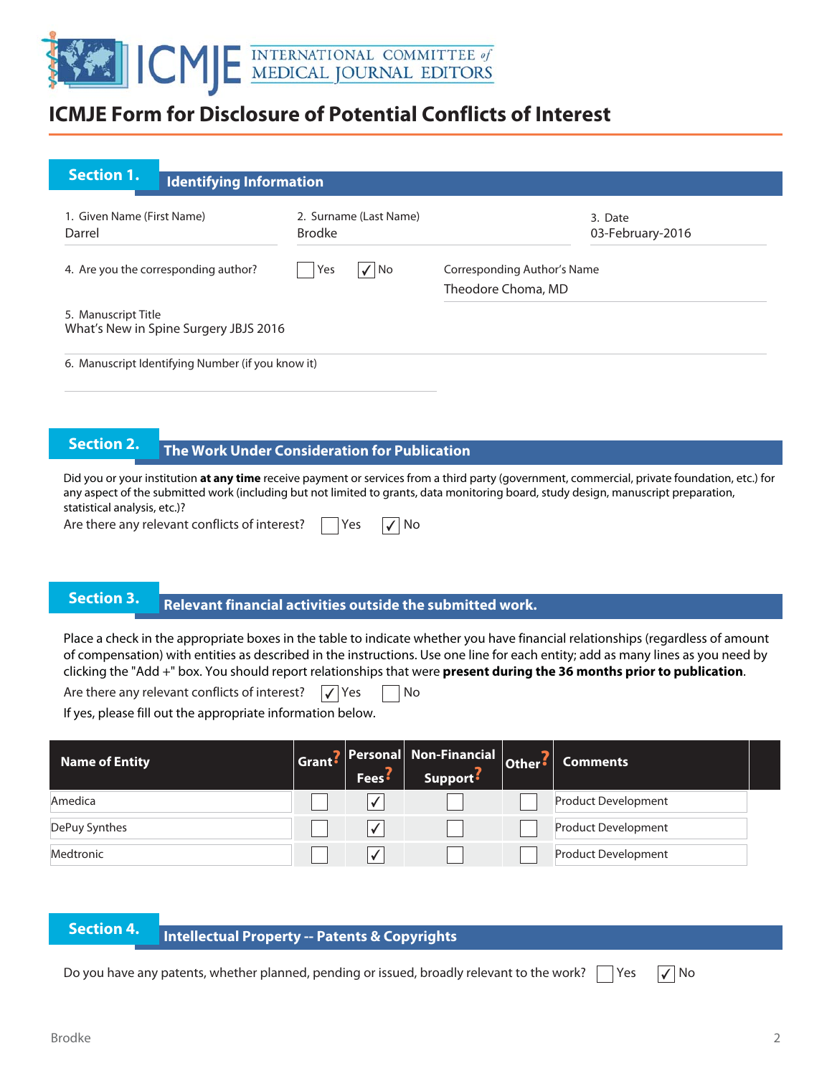

| <b>Section 1.</b>                    | <b>Identifying Information</b>                    |                                         |                                                   |
|--------------------------------------|---------------------------------------------------|-----------------------------------------|---------------------------------------------------|
| 1. Given Name (First Name)<br>Darrel |                                                   | 2. Surname (Last Name)<br><b>Brodke</b> | 3. Date<br>03-February-2016                       |
| 4. Are you the corresponding author? |                                                   | $\sqrt{ N_{0}}$<br>Yes                  | Corresponding Author's Name<br>Theodore Choma, MD |
| 5. Manuscript Title                  | What's New in Spine Surgery JBJS 2016             |                                         |                                                   |
|                                      | 6. Manuscript Identifying Number (if you know it) |                                         |                                                   |

# **The Work Under Consideration for Publication**

Did you or your institution **at any time** receive payment or services from a third party (government, commercial, private foundation, etc.) for any aspect of the submitted work (including but not limited to grants, data monitoring board, study design, manuscript preparation, statistical analysis, etc.)?

Are there any relevant conflicts of interest?  $\Box$  Yes  $\Box$  No

## **Relevant financial activities outside the submitted work. Section 3. Relevant financial activities outset**

Place a check in the appropriate boxes in the table to indicate whether you have financial relationships (regardless of amount of compensation) with entities as described in the instructions. Use one line for each entity; add as many lines as you need by clicking the "Add +" box. You should report relationships that were **present during the 36 months prior to publication**.

Are there any relevant conflicts of interest?  $\sqrt{\ }$  Yes  $\Box$  No

If yes, please fill out the appropriate information below.

| <b>Name of Entity</b> | Grant? | Fees <sup>5</sup> | Personal Non-Financial Other?<br>Support <sup>:</sup> | <b>Comments</b>            |  |
|-----------------------|--------|-------------------|-------------------------------------------------------|----------------------------|--|
| Amedica               |        |                   |                                                       | <b>Product Development</b> |  |
| DePuy Synthes         |        |                   |                                                       | <b>Product Development</b> |  |
| Medtronic             |        |                   |                                                       | <b>Product Development</b> |  |

|  |  | <b>Section 4</b> |
|--|--|------------------|
|  |  |                  |
|  |  |                  |

### **Intellectual Property -- Patents & Copyrights**

Do you have any patents, whether planned, pending or issued, broadly relevant to the work?  $\Box$  Yes  $\Box$  No